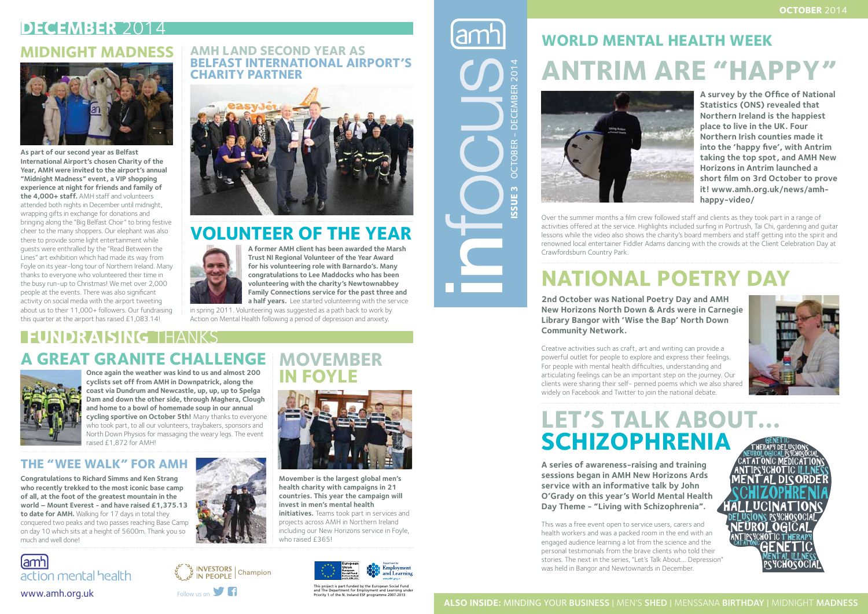**A survey by the Office of National Statistics (ONS) revealed that Northern Ireland is the happiest place to live in the UK. Four Northern Irish counties made it into the 'happy five', with Antrim taking the top spot, and AMH New Horizons in Antrim launched a short film on 3rd October to prove it! www.amh.org.uk/news/amhhappy-video/** 



# **WORLD MENTAL HEALTH WEEK ANTRIM ARE "HAPP**



Over the summer months a film crew followed staff and clients as they took part in a range of activities offered at the service. Highlights included surfing in Portrush, Tai Chi, gardening and guitar lessons while the video also shows the charity's board members and staff getting into the spirit and renowned local entertainer Fiddler Adams dancing with the crowds at the Client Celebration Day at Crawfordsburn Country Park.

**2nd October was National Poetry Day and AMH New Horizons North Down & Ards were in Carnegie Library Bangor with 'Wise the Bap' North Down Community Network.** 

This project is part funded by the European Social Fund and The Department of Employment and Learning under Department for Employment and The Department for Employment and Learning under The N. Ireland ESF programme 2007-2013<br>Follow us on Priority 1 of the N. Ireland ESF progra

# **Issue 3** OCTOBER - DECEMBER 2014  $2014$ **DECEM** OCTOBER-SSUE<sub>3</sub>

Creative activities such as craft, art and writing can provide a powerful outlet for people to explore and express their feelings. For people with mental health difficulties, understanding and articulating feelings can be an important step on the journey. Our clients were sharing their self- penned poems which we also shared widely on Facebook and Twitter to join the national debate.

# **National Poetry Day**

# **Let's Talk About… Schizophrenia**

Once again the weather was kind to us and almost 200 **IN FOYLE**<br>cyclists set off from AMH in Downpatrick, along the **coast via Dundrum and Newcastle, up, up, up to Spelga Dam and down the other side, through Maghera, Clough and home to a bowl of homemade soup in our annual cycling sportive on October 5th!** Many thanks to everyone who took part, to all our volunteers, traybakers, sponsors and North Down Physios for massaging the weary legs. The event raised £1,872 for AMH!

> **A series of awareness-raising and training sessions began in AMH New Horizons Ards service with an informative talk by John O'Grady on this year's World Mental Health Day Theme - "Living with Schizophrenia".**

This was a free event open to service users, carers and health workers and was a packed room in the end with an engaged audience learning a lot from the science and the personal testimonials from the brave clients who told their stories. The next in the series, "Let's Talk About... Depression" was held in Bangor and Newtownards in December.





# **INVESTORS** | Champion

#### **ALSO INSIDE:** MINDING YOUR BUSINESS | MEN'S SHED | MENSSANA BIRTHDAY | MIDNIGHT MADNESS

## **DECEMBER** 2014 **Midnight Madness**



#### **AMH land Second Year as Belfast International Airport's Charity Partner**



#### **FUNDRAISING** THANKS **A Great Granite Challenge Movember**



### **Volunteer of the Year**



#### **The "Wee Walk" for AMH**

#### NEUROLOGICAL GENETIC PSYCHOSOCIAL ANTIPSYCHOTIC ILLNESS A<u>nt Ipsych</u>ot <u>I</u>c  $\lambda$ atatonic medication SCHIZOPHRENIA MENTAL DISORDE HALLUCINATIONS NEUROLOGICAL DELUSIONS PSYCHOSOCIAL GENETIC MENTAL ILLNESS THERAPY DELUSIONS**THERAPY** PSYCHOSOCIAL CAT AT ONIC

**Congratulations to Richard Simms and Ken Strang who recently trekked to the most iconic base camp of all, at the foot of the greatest mountain in the world – Mount Everest - and have raised £1,375.13 to date for AMH.** Walking for 17 days in total they conquered two peaks and two passes reaching Base Camp on day 10 which sits at a height of 5600m. Thank you so much and well done!





**Movember is the largest global men's health charity with campaigns in 21 countries. This year the campaign will invest in men's mental health initiatives.** Teams took part in services and projects across AMH in Northern Ireland including our New Horizons service in Foyle, who raised £365!



**A former AMH client has been awarded the Marsh Trust NI Regional Volunteer of the Year Award for his volunteering role with Barnardo's. Many congratulations to Lee Maddocks who has been volunteering with the charity's Newtownabbey Family Connections service for the past three and a half years.** Lee started volunteering with the service

in spring 2011. Volunteering was suggested as a path back to work by Action on Mental Health following a period of depression and anxiety.

**As part of our second year as Belfast International Airport's chosen Charity of the Year, AMH were invited to the airport's annual "Midnight Madness" event, a VIP shopping experience at night for friends and family of the 4,000+ staff.** AMH staff and volunteers attended both nights in December until midnight, wrapping gifts in exchange for donations and bringing along the "Big Belfast Choir" to bring festive cheer to the many shoppers. Our elephant was also there to provide some light entertainment while guests were enthralled by the "Read Between the Lines" art exhibition which had made its way from Foyle on its year-long tour of Northern Ireland. Many thanks to everyone who volunteered their time in the busy run-up to Christmas! We met over 2,000 people at the events. There was also significant activity on social media with the airport tweeting about us to their 11,000+ followers. Our fundraising this quarter at the airport has raised £1,083.14!